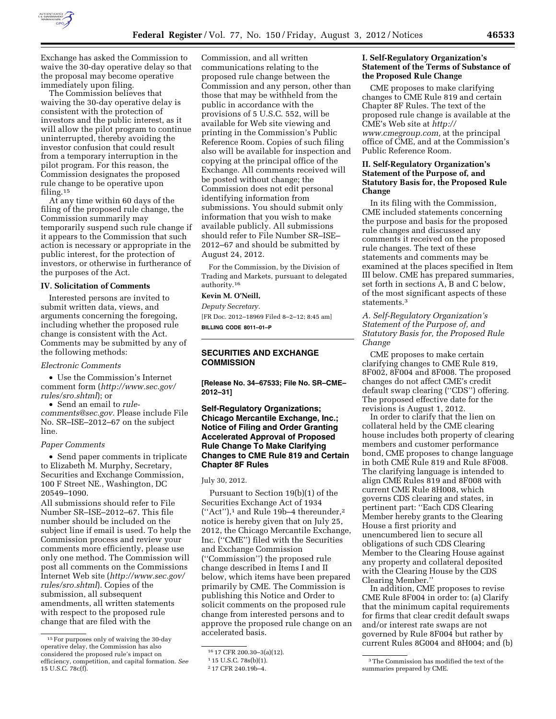

Exchange has asked the Commission to waive the 30-day operative delay so that the proposal may become operative immediately upon filing.

The Commission believes that waiving the 30-day operative delay is consistent with the protection of investors and the public interest, as it will allow the pilot program to continue uninterrupted, thereby avoiding the investor confusion that could result from a temporary interruption in the pilot program. For this reason, the Commission designates the proposed rule change to be operative upon filing.15

At any time within 60 days of the filing of the proposed rule change, the Commission summarily may temporarily suspend such rule change if it appears to the Commission that such action is necessary or appropriate in the public interest, for the protection of investors, or otherwise in furtherance of the purposes of the Act.

# **IV. Solicitation of Comments**

Interested persons are invited to submit written data, views, and arguments concerning the foregoing, including whether the proposed rule change is consistent with the Act. Comments may be submitted by any of the following methods:

#### *Electronic Comments*

• Use the Commission's Internet comment form (*[http://www.sec.gov/](http://www.sec.gov/rules/sro.shtml)  [rules/sro.shtml](http://www.sec.gov/rules/sro.shtml)*); or

• Send an email to *[rule-](mailto:rule-comments@sec.gov)*

*[comments@sec.gov.](mailto:rule-comments@sec.gov)* Please include File No. SR–ISE–2012–67 on the subject line.

#### *Paper Comments*

• Send paper comments in triplicate to Elizabeth M. Murphy, Secretary, Securities and Exchange Commission, 100 F Street NE., Washington, DC 20549–1090.

All submissions should refer to File Number SR–ISE–2012–67. This file number should be included on the subject line if email is used. To help the Commission process and review your comments more efficiently, please use only one method. The Commission will post all comments on the Commissions Internet Web site (*[http://www.sec.gov/](http://www.sec.gov/rules/sro.shtml)  [rules/sro.shtml](http://www.sec.gov/rules/sro.shtml)*). Copies of the submission, all subsequent amendments, all written statements with respect to the proposed rule change that are filed with the

Commission, and all written communications relating to the proposed rule change between the Commission and any person, other than those that may be withheld from the public in accordance with the provisions of 5 U.S.C. 552, will be available for Web site viewing and printing in the Commission's Public Reference Room. Copies of such filing also will be available for inspection and copying at the principal office of the Exchange. All comments received will be posted without change; the Commission does not edit personal identifying information from submissions. You should submit only information that you wish to make available publicly. All submissions should refer to File Number SR–ISE– 2012–67 and should be submitted by August 24, 2012.

For the Commission, by the Division of Trading and Markets, pursuant to delegated authority.16

#### **Kevin M. O'Neill,**

*Deputy Secretary.*  [FR Doc. 2012–18969 Filed 8–2–12; 8:45 am] **BILLING CODE 8011–01–P** 

# **SECURITIES AND EXCHANGE COMMISSION**

**[Release No. 34–67533; File No. SR–CME– 2012–31]** 

# **Self-Regulatory Organizations; Chicago Mercantile Exchange, Inc.; Notice of Filing and Order Granting Accelerated Approval of Proposed Rule Change To Make Clarifying Changes to CME Rule 819 and Certain Chapter 8F Rules**

#### July 30, 2012.

Pursuant to Section 19(b)(1) of the Securities Exchange Act of 1934  $("Act")$ , and Rule 19b–4 thereunder,  $^2$ notice is hereby given that on July 25, 2012, the Chicago Mercantile Exchange, Inc. (''CME'') filed with the Securities and Exchange Commission (''Commission'') the proposed rule change described in Items I and II below, which items have been prepared primarily by CME. The Commission is publishing this Notice and Order to solicit comments on the proposed rule change from interested persons and to approve the proposed rule change on an accelerated basis.

#### **I. Self-Regulatory Organization's Statement of the Terms of Substance of the Proposed Rule Change**

CME proposes to make clarifying changes to CME Rule 819 and certain Chapter 8F Rules. The text of the proposed rule change is available at the CME's Web site at *[http://](http://www.cmegroup.com) [www.cmegroup.com,](http://www.cmegroup.com)* at the principal office of CME, and at the Commission's Public Reference Room.

## **II. Self-Regulatory Organization's Statement of the Purpose of, and Statutory Basis for, the Proposed Rule Change**

In its filing with the Commission, CME included statements concerning the purpose and basis for the proposed rule changes and discussed any comments it received on the proposed rule changes. The text of these statements and comments may be examined at the places specified in Item III below. CME has prepared summaries, set forth in sections A, B and C below, of the most significant aspects of these statements.3

## *A. Self-Regulatory Organization's Statement of the Purpose of, and Statutory Basis for, the Proposed Rule Change*

CME proposes to make certain clarifying changes to CME Rule 819, 8F002, 8F004 and 8F008. The proposed changes do not affect CME's credit default swap clearing (''CDS'') offering. The proposed effective date for the revisions is August 1, 2012.

In order to clarify that the lien on collateral held by the CME clearing house includes both property of clearing members and customer performance bond, CME proposes to change language in both CME Rule 819 and Rule 8F008. The clarifying language is intended to align CME Rules 819 and 8F008 with current CME Rule 8H008, which governs CDS clearing and states, in pertinent part: ''Each CDS Clearing Member hereby grants to the Clearing House a first priority and unencumbered lien to secure all obligations of such CDS Clearing Member to the Clearing House against any property and collateral deposited with the Clearing House by the CDS Clearing Member.''

In addition, CME proposes to revise CME Rule 8F004 in order to: (a) Clarify that the minimum capital requirements for firms that clear credit default swaps and/or interest rate swaps are not governed by Rule 8F004 but rather by current Rules 8G004 and 8H004; and (b)

<sup>15</sup>For purposes only of waiving the 30-day operative delay, the Commission has also considered the proposed rule's impact on efficiency, competition, and capital formation. *See*  15 U.S.C. 78c(f).

<sup>16</sup> 17 CFR 200.30–3(a)(12).

<sup>1</sup> 15 U.S.C. 78s(b)(1).

<sup>2</sup> 17 CFR 240.19b–4.

<sup>3</sup>The Commission has modified the text of the summaries prepared by CME.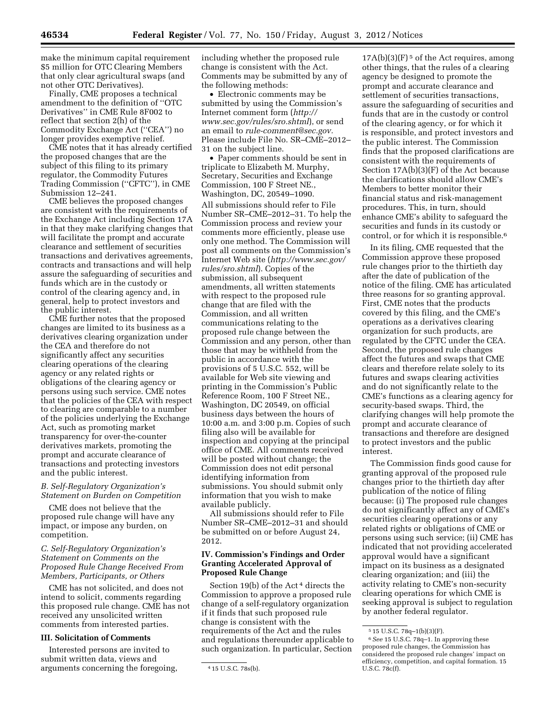make the minimum capital requirement \$5 million for OTC Clearing Members that only clear agricultural swaps (and not other OTC Derivatives).

Finally, CME proposes a technical amendment to the definition of ''OTC Derivatives'' in CME Rule 8F002 to reflect that section 2(h) of the Commodity Exchange Act (''CEA'') no longer provides exemptive relief.

CME notes that it has already certified the proposed changes that are the subject of this filing to its primary regulator, the Commodity Futures Trading Commission (''CFTC''), in CME Submission 12–241.

CME believes the proposed changes are consistent with the requirements of the Exchange Act including Section 17A in that they make clarifying changes that will facilitate the prompt and accurate clearance and settlement of securities transactions and derivatives agreements, contracts and transactions and will help assure the safeguarding of securities and funds which are in the custody or control of the clearing agency and, in general, help to protect investors and the public interest.

CME further notes that the proposed changes are limited to its business as a derivatives clearing organization under the CEA and therefore do not significantly affect any securities clearing operations of the clearing agency or any related rights or obligations of the clearing agency or persons using such service. CME notes that the policies of the CEA with respect to clearing are comparable to a number of the policies underlying the Exchange Act, such as promoting market transparency for over-the-counter derivatives markets, promoting the prompt and accurate clearance of transactions and protecting investors and the public interest.

#### *B. Self-Regulatory Organization's Statement on Burden on Competition*

CME does not believe that the proposed rule change will have any impact, or impose any burden, on competition.

## *C. Self-Regulatory Organization's Statement on Comments on the Proposed Rule Change Received From Members, Participants, or Others*

CME has not solicited, and does not intend to solicit, comments regarding this proposed rule change. CME has not received any unsolicited written comments from interested parties.

## **III. Solicitation of Comments**

Interested persons are invited to submit written data, views and arguments concerning the foregoing, including whether the proposed rule change is consistent with the Act. Comments may be submitted by any of the following methods:

• Electronic comments may be submitted by using the Commission's Internet comment form (*[http://](http://www.sec.gov/rules/sro.shtml) [www.sec.gov/rules/sro.shtml](http://www.sec.gov/rules/sro.shtml)*), or send an email to *[rule-comment@sec.gov.](mailto:rule-comment@sec.gov)*  Please include File No. SR–CME–2012– 31 on the subject line.

• Paper comments should be sent in triplicate to Elizabeth M. Murphy, Secretary, Securities and Exchange Commission, 100 F Street NE., Washington, DC, 20549–1090.

All submissions should refer to File Number SR–CME–2012–31. To help the Commission process and review your comments more efficiently, please use only one method. The Commission will post all comments on the Commission's Internet Web site (*[http://www.sec.gov/](http://www.sec.gov/rules/sro.shtml)  [rules/sro.shtml](http://www.sec.gov/rules/sro.shtml)*). Copies of the submission, all subsequent amendments, all written statements with respect to the proposed rule change that are filed with the Commission, and all written communications relating to the proposed rule change between the Commission and any person, other than those that may be withheld from the public in accordance with the provisions of 5 U.S.C. 552, will be available for Web site viewing and printing in the Commission's Public Reference Room, 100 F Street NE., Washington, DC 20549, on official business days between the hours of 10:00 a.m. and 3:00 p.m. Copies of such filing also will be available for inspection and copying at the principal office of CME. All comments received will be posted without change; the Commission does not edit personal identifying information from submissions. You should submit only information that you wish to make available publicly.

All submissions should refer to File Number SR–CME–2012–31 and should be submitted on or before August 24, 2012.

#### **IV. Commission's Findings and Order Granting Accelerated Approval of Proposed Rule Change**

Section 19(b) of the Act 4 directs the Commission to approve a proposed rule change of a self-regulatory organization if it finds that such proposed rule change is consistent with the requirements of the Act and the rules and regulations thereunder applicable to such organization. In particular, Section

 $17A(b)(3)(F)<sup>5</sup>$  of the Act requires, among other things, that the rules of a clearing agency be designed to promote the prompt and accurate clearance and settlement of securities transactions, assure the safeguarding of securities and funds that are in the custody or control of the clearing agency, or for which it is responsible, and protect investors and the public interest. The Commission finds that the proposed clarifications are consistent with the requirements of Section 17A(b)(3)(F) of the Act because the clarifications should allow CME's Members to better monitor their financial status and risk-management procedures. This, in turn, should enhance CME's ability to safeguard the securities and funds in its custody or control, or for which it is responsible.6

In its filing, CME requested that the Commission approve these proposed rule changes prior to the thirtieth day after the date of publication of the notice of the filing. CME has articulated three reasons for so granting approval. First, CME notes that the products covered by this filing, and the CME's operations as a derivatives clearing organization for such products, are regulated by the CFTC under the CEA. Second, the proposed rule changes affect the futures and swaps that CME clears and therefore relate solely to its futures and swaps clearing activities and do not significantly relate to the CME's functions as a clearing agency for security-based swaps. Third, the clarifying changes will help promote the prompt and accurate clearance of transactions and therefore are designed to protect investors and the public interest.

The Commission finds good cause for granting approval of the proposed rule changes prior to the thirtieth day after publication of the notice of filing because: (i) The proposed rule changes do not significantly affect any of CME's securities clearing operations or any related rights or obligations of CME or persons using such service; (ii) CME has indicated that not providing accelerated approval would have a significant impact on its business as a designated clearing organization; and (iii) the activity relating to CME's non-security clearing operations for which CME is seeking approval is subject to regulation by another federal regulator.

<sup>4</sup> 15 U.S.C. 78s(b).

<sup>5</sup> 15 U.S.C. 78q–1(b)(3)(F).

<sup>6</sup>*See* 15 U.S.C. 78q–1. In approving these proposed rule changes, the Commission has considered the proposed rule changes' impact on efficiency, competition, and capital formation. 15 U.S.C. 78c(f).